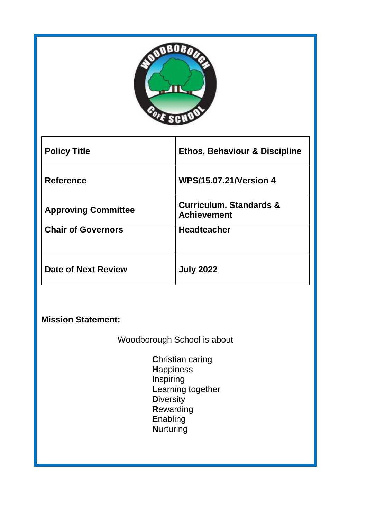

| <b>Policy Title</b>        | <b>Ethos, Behaviour &amp; Discipline</b>                 |
|----------------------------|----------------------------------------------------------|
| <b>Reference</b>           | <b>WPS/15.07.21/Version 4</b>                            |
| <b>Approving Committee</b> | <b>Curriculum. Standards &amp;</b><br><b>Achievement</b> |
| <b>Chair of Governors</b>  | <b>Headteacher</b>                                       |
| Date of Next Review        | <b>July 2022</b>                                         |

# **Mission Statement:**

Woodborough School is about

**C**hristian caring **H**appiness **I**nspiring **L**earning together **D**iversity **R**ewarding **E**nabling **N**urturing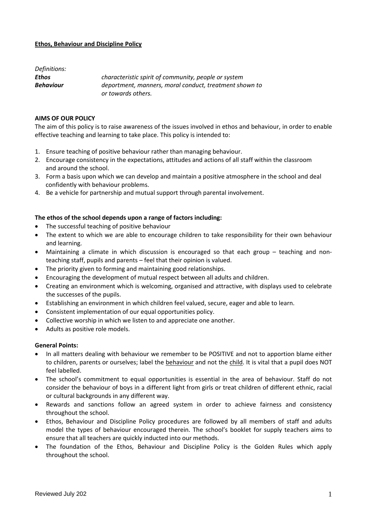#### **Ethos, Behaviour and Discipline Policy**

| Definitions:     |                                                        |
|------------------|--------------------------------------------------------|
| Ethos            | characteristic spirit of community, people or system   |
| <b>Behaviour</b> | deportment, manners, moral conduct, treatment shown to |
|                  | or towards others.                                     |

## **AIMS OF OUR POLICY**

The aim of this policy is to raise awareness of the issues involved in ethos and behaviour, in order to enable effective teaching and learning to take place. This policy is intended to:

- 1. Ensure teaching of positive behaviour rather than managing behaviour.
- 2. Encourage consistency in the expectations, attitudes and actions of all staff within the classroom and around the school.
- 3. Form a basis upon which we can develop and maintain a positive atmosphere in the school and deal confidently with behaviour problems.
- 4. Be a vehicle for partnership and mutual support through parental involvement.

#### **The ethos of the school depends upon a range of factors including:**

- The successful teaching of positive behaviour
- The extent to which we are able to encourage children to take responsibility for their own behaviour and learning.
- Maintaining a climate in which discussion is encouraged so that each group teaching and nonteaching staff, pupils and parents – feel that their opinion is valued.
- The priority given to forming and maintaining good relationships.
- Encouraging the development of mutual respect between all adults and children.
- Creating an environment which is welcoming, organised and attractive, with displays used to celebrate the successes of the pupils.
- Establishing an environment in which children feel valued, secure, eager and able to learn.
- Consistent implementation of our equal opportunities policy.
- Collective worship in which we listen to and appreciate one another.
- Adults as positive role models.

#### **General Points:**

- In all matters dealing with behaviour we remember to be POSITIVE and not to apportion blame either to children, parents or ourselves; label the behaviour and not the child. It is vital that a pupil does NOT feel labelled.
- The school's commitment to equal opportunities is essential in the area of behaviour. Staff do not consider the behaviour of boys in a different light from girls or treat children of different ethnic, racial or cultural backgrounds in any different way.
- Rewards and sanctions follow an agreed system in order to achieve fairness and consistency throughout the school.
- Ethos, Behaviour and Discipline Policy procedures are followed by all members of staff and adults model the types of behaviour encouraged therein. The school's booklet for supply teachers aims to ensure that all teachers are quickly inducted into our methods.
- The foundation of the Ethos, Behaviour and Discipline Policy is the Golden Rules which apply throughout the school.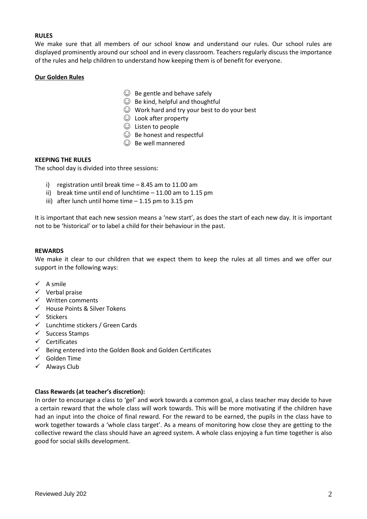## **RULES**

We make sure that all members of our school know and understand our rules. Our school rules are displayed prominently around our school and in every classroom. Teachers regularly discuss the importance of the rules and help children to understand how keeping them is of benefit for everyone.

## **Our Golden Rules**

- $\odot$  Be gentle and behave safely
- $\odot$  Be kind, helpful and thoughtful
- ☺ Work hard and try your best to do your best
- ☺ Look after property
- ☺ Listen to people
- $\odot$  Be honest and respectful
- $\odot$  Be well mannered

## **KEEPING THE RULES**

The school day is divided into three sessions:

- i) registration until break time 8.45 am to 11.00 am
- ii) break time until end of lunchtime 11.00 am to 1.15 pm
- iii) after lunch until home time 1.15 pm to 3.15 pm

It is important that each new session means a 'new start', as does the start of each new day. It is important not to be 'historical' or to label a child for their behaviour in the past.

#### **REWARDS**

We make it clear to our children that we expect them to keep the rules at all times and we offer our support in the following ways:

- $\checkmark$  A smile
- $\checkmark$  Verbal praise
- $\checkmark$  Written comments
- House Points & Silver Tokens
- $\checkmark$  Stickers
- $\checkmark$  Lunchtime stickers / Green Cards
- $\checkmark$  Success Stamps
- $\checkmark$  Certificates
- $\checkmark$  Being entered into the Golden Book and Golden Certificates
- $\checkmark$  Golden Time
- $\checkmark$  Always Club

## **Class Rewards (at teacher's discretion):**

In order to encourage a class to 'gel' and work towards a common goal, a class teacher may decide to have a certain reward that the whole class will work towards. This will be more motivating if the children have had an input into the choice of final reward. For the reward to be earned, the pupils in the class have to work together towards a 'whole class target'. As a means of monitoring how close they are getting to the collective reward the class should have an agreed system. A whole class enjoying a fun time together is also good for social skills development.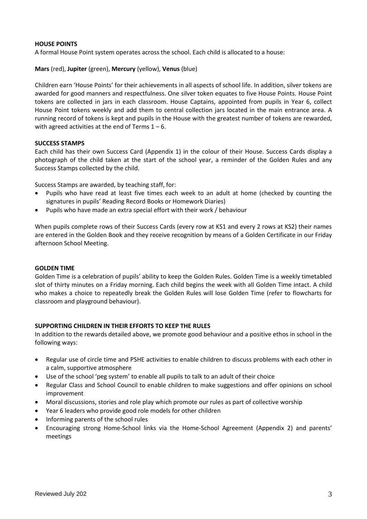## **HOUSE POINTS**

A formal House Point system operates across the school. Each child is allocated to a house:

**Mars** (red), **Jupiter** (green), **Mercury** (yellow), **Venus** (blue)

Children earn 'House Points' for their achievements in all aspects of school life. In addition, silver tokens are awarded for good manners and respectfulness. One silver token equates to five House Points. House Point tokens are collected in jars in each classroom. House Captains, appointed from pupils in Year 6, collect House Point tokens weekly and add them to central collection jars located in the main entrance area. A running record of tokens is kept and pupils in the House with the greatest number of tokens are rewarded, with agreed activities at the end of Terms  $1 - 6$ .

## **SUCCESS STAMPS**

Each child has their own Success Card (Appendix 1) in the colour of their House. Success Cards display a photograph of the child taken at the start of the school year, a reminder of the Golden Rules and any Success Stamps collected by the child.

Success Stamps are awarded, by teaching staff, for:

- Pupils who have read at least five times each week to an adult at home (checked by counting the signatures in pupils' Reading Record Books or Homework Diaries)
- Pupils who have made an extra special effort with their work / behaviour

When pupils complete rows of their Success Cards (every row at KS1 and every 2 rows at KS2) their names are entered in the Golden Book and they receive recognition by means of a Golden Certificate in our Friday afternoon School Meeting.

## **GOLDEN TIME**

Golden Time is a celebration of pupils' ability to keep the Golden Rules. Golden Time is a weekly timetabled slot of thirty minutes on a Friday morning. Each child begins the week with all Golden Time intact. A child who makes a choice to repeatedly break the Golden Rules will lose Golden Time (refer to flowcharts for classroom and playground behaviour).

## **SUPPORTING CHILDREN IN THEIR EFFORTS TO KEEP THE RULES**

In addition to the rewards detailed above, we promote good behaviour and a positive ethos in school in the following ways:

- Regular use of circle time and PSHE activities to enable children to discuss problems with each other in a calm, supportive atmosphere
- Use of the school 'peg system' to enable all pupils to talk to an adult of their choice
- Regular Class and School Council to enable children to make suggestions and offer opinions on school improvement
- Moral discussions, stories and role play which promote our rules as part of collective worship
- Year 6 leaders who provide good role models for other children
- Informing parents of the school rules
- Encouraging strong Home-School links via the Home-School Agreement (Appendix 2) and parents' meetings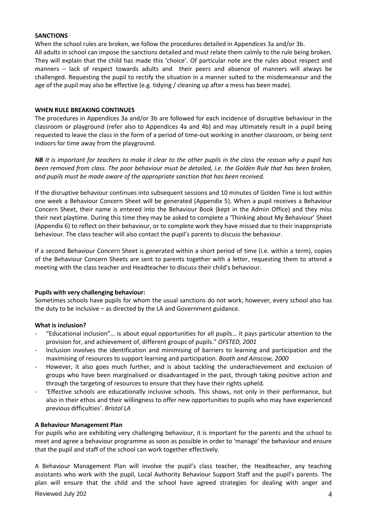## **SANCTIONS**

When the school rules are broken, we follow the procedures detailed in Appendices 3a and/or 3b. All adults in school can impose the sanctions detailed and must relate them calmly to the rule being broken. They will explain that the child has made this 'choice'. Of particular note are the rules about respect and manners – lack of respect towards adults and their peers and absence of manners will always be challenged. Requesting the pupil to rectify the situation in a manner suited to the misdemeanour and the age of the pupil may also be effective (e.g. tidying / cleaning up after a mess has been made).

## **WHEN RULE BREAKING CONTINUES**

The procedures in Appendices 3a and/or 3b are followed for each incidence of disruptive behaviour in the classroom or playground (refer also to Appendices 4a and 4b) and may ultimately result in a pupil being requested to leave the class in the form of a period of time-out working in another classroom, or being sent indoors for time away from the playground.

*NB It is important for teachers to make it clear to the other pupils in the class the reason why a pupil has been removed from class. The poor behaviour must be detailed, i.e. the Golden Rule that has been broken, and pupils must be made aware of the appropriate sanction that has been received.*

If the disruptive behaviour continues into subsequent sessions and 10 minutes of Golden Time is lost within one week a Behaviour Concern Sheet will be generated (Appendix 5). When a pupil receives a Behaviour Concern Sheet, their name is entered into the Behaviour Book (kept in the Admin Office) and they miss their next playtime. During this time they may be asked to complete a 'Thinking about My Behaviour' Sheet (Appendix 6) to reflect on their behaviour, or to complete work they have missed due to their inappropriate behaviour. The class teacher will also contact the pupil's parents to discuss the behaviour.

If a second Behaviour Concern Sheet is generated within a short period of time (i.e. within a term), copies of the Behaviour Concern Sheets are sent to parents together with a letter, requesting them to attend a meeting with the class teacher and Headteacher to discuss their child's behaviour.

## **Pupils with very challenging behaviour:**

Sometimes schools have pupils for whom the usual sanctions do not work; however, every school also has the duty to be inclusive – as directed by the LA and Government guidance.

## **What is inclusion?**

- "Educational inclusion"… is about equal opportunities for all pupils… it pays particular attention to the provision for, and achievement of, different groups of pupils." *OFSTED, 2001*
- Inclusion involves the identification and minimising of barriers to learning and participation and the maximising of resources to support learning and participation. *Booth and Ainscow, 2000*
- However, it also goes much further, and is about tackling the underachievement and exclusion of groups who have been marginalised or disadvantaged in the past, through taking positive action and through the targeting of resources to ensure that they have their rights upheld.
- 'Effective schools are educationally inclusive schools. This shows, not only in their performance, but also in their ethos and their willingness to offer new opportunities to pupils who may have experienced previous difficulties'. *Bristol LA*

# **A Behaviour Management Plan**

For pupils who are exhibiting very challenging behaviour, it is important for the parents and the school to meet and agree a behaviour programme as soon as possible in order to 'manage' the behaviour and ensure that the pupil and staff of the school can work together effectively.

A Behaviour Management Plan will involve the pupil's class teacher, the Headteacher, any teaching assistants who work with the pupil, Local Authority Behaviour Support Staff and the pupil's parents. The plan will ensure that the child and the school have agreed strategies for dealing with anger and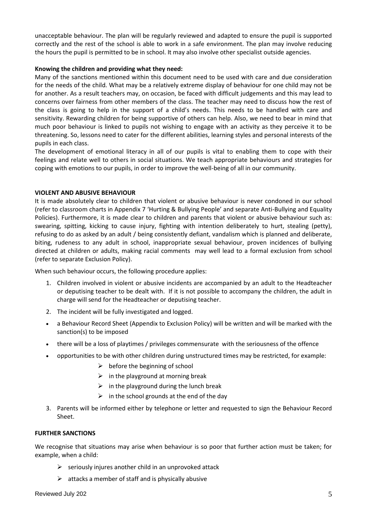unacceptable behaviour. The plan will be regularly reviewed and adapted to ensure the pupil is supported correctly and the rest of the school is able to work in a safe environment. The plan may involve reducing the hours the pupil is permitted to be in school. It may also involve other specialist outside agencies.

## **Knowing the children and providing what they need:**

Many of the sanctions mentioned within this document need to be used with care and due consideration for the needs of the child. What may be a relatively extreme display of behaviour for one child may not be for another. As a result teachers may, on occasion, be faced with difficult judgements and this may lead to concerns over fairness from other members of the class. The teacher may need to discuss how the rest of the class is going to help in the support of a child's needs. This needs to be handled with care and sensitivity. Rewarding children for being supportive of others can help. Also, we need to bear in mind that much poor behaviour is linked to pupils not wishing to engage with an activity as they perceive it to be threatening. So, lessons need to cater for the different abilities, learning styles and personal interests of the pupils in each class.

The development of emotional literacy in all of our pupils is vital to enabling them to cope with their feelings and relate well to others in social situations. We teach appropriate behaviours and strategies for coping with emotions to our pupils, in order to improve the well-being of all in our community.

# **VIOLENT AND ABUSIVE BEHAVIOUR**

It is made absolutely clear to children that violent or abusive behaviour is never condoned in our school (refer to classroom charts in Appendix 7 'Hurting & Bullying People' and separate Anti-Bullying and Equality Policies). Furthermore, it is made clear to children and parents that violent or abusive behaviour such as: swearing, spitting, kicking to cause injury, fighting with intention deliberately to hurt, stealing (petty), refusing to do as asked by an adult / being consistently defiant, vandalism which is planned and deliberate, biting, rudeness to any adult in school, inappropriate sexual behaviour, proven incidences of bullying directed at children or adults, making racial comments may well lead to a formal exclusion from school (refer to separate Exclusion Policy).

When such behaviour occurs, the following procedure applies:

- 1. Children involved in violent or abusive incidents are accompanied by an adult to the Headteacher or deputising teacher to be dealt with. If it is not possible to accompany the children, the adult in charge will send for the Headteacher or deputising teacher.
- 2. The incident will be fully investigated and logged.
- a Behaviour Record Sheet (Appendix to Exclusion Policy) will be written and will be marked with the sanction(s) to be imposed
- there will be a loss of playtimes / privileges commensurate with the seriousness of the offence
- opportunities to be with other children during unstructured times may be restricted, for example:
	- $\triangleright$  before the beginning of school
	- $\triangleright$  in the playground at morning break
	- $\triangleright$  in the playground during the lunch break
	- $\triangleright$  in the school grounds at the end of the day
- 3. Parents will be informed either by telephone or letter and requested to sign the Behaviour Record Sheet.

## **FURTHER SANCTIONS**

We recognise that situations may arise when behaviour is so poor that further action must be taken; for example, when a child:

- $\triangleright$  seriously injures another child in an unprovoked attack
- $\triangleright$  attacks a member of staff and is physically abusive